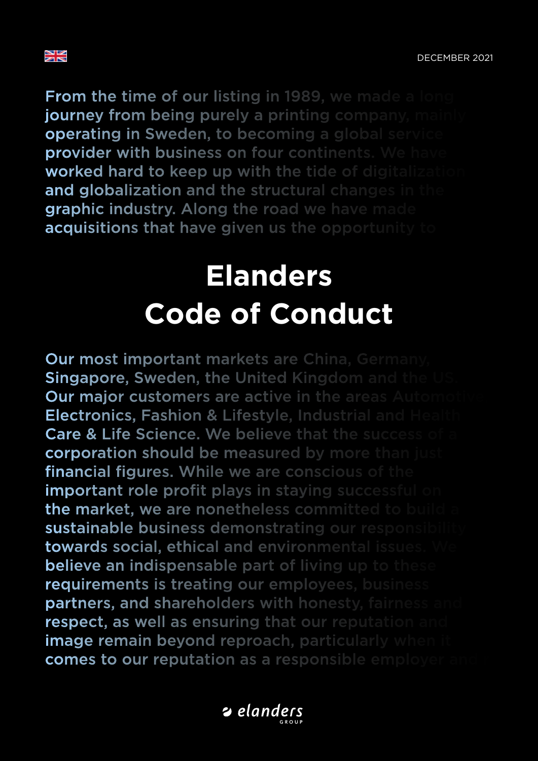

**From the time of our listing in 1989, we made a lorger** journey from being purely a printing company, mai **operating in Sweden, to becoming a global service provider with business on four continents. We have** worked hard to keep up with the tide of digitalizat and globalization and the structural changes in the graphic industry. Along the road we have made acquisitions that have given us the opportunity to

# services. Elanders is nowadays a global supplier of **integrated solutions** in the areas supply changed solutions in the areas supply changed supply chain  $\mathbf{E}$  and  $\mathbf{E}$  are supply changed supply chain  $\mathbf{E}$  and  $\mathbf{E}$  are supply chain  $\mathbf{E}$  and  $\mathbf{E}$  are s management and print and print and print and print and print and print and print and print and print and print and print and print and print and print and print and print and print and print and print and print and print a **Code of Conduct**

**Our most important markets are China, Germany** Singapore, Sweden, the United Kingdom and the Our major customers are active in the areas Auton Electronics, Fashion & Lifestyle, Industrial and Health Care & Life Science. We believe that the success of corporation should be measured by more than just financial figures. While we are conscious of the **important role profit plays in staving successful only** the market, we are nonetheless committed to build a sustainable business demonstrating our responsibility towards social, ethical and environmental issues. **believe an indispensable part of living up to these** requirements is treating our employees, business partners, and shareholders with honesty, fairness and respect, as well as ensuring that our reputation and image remain beyond reproach, particularly when comes to our reputation as a responsible employer

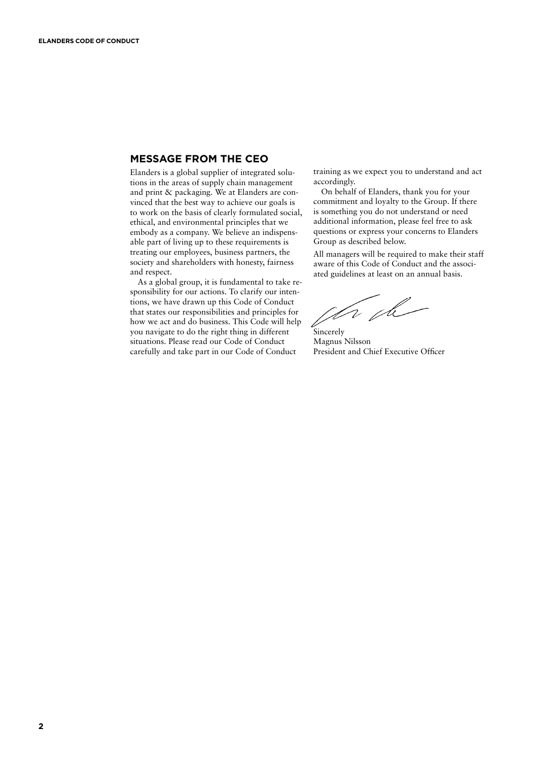### **MESSAGE FROM THE CEO**

Elanders is a global supplier of integrated solutions in the areas of supply chain management and print & packaging. We at Elanders are convinced that the best way to achieve our goals is to work on the basis of clearly formulated social, ethical, and environmental principles that we embody as a company. We believe an indispensable part of living up to these requirements is treating our employees, business partners, the society and shareholders with honesty, fairness and respect.

As a global group, it is fundamental to take responsibility for our actions. To clarify our intentions, we have drawn up this Code of Conduct that states our responsibilities and principles for how we act and do business. This Code will help you navigate to do the right thing in different situations. Please read our Code of Conduct carefully and take part in our Code of Conduct

training as we expect you to understand and act accordingly.

On behalf of Elanders, thank you for your commitment and loyalty to the Group. If there is something you do not understand or need additional information, please feel free to ask questions or express your concerns to Elanders Group as described below.

All managers will be required to make their staff aware of this Code of Conduct and the associated guidelines at least on an annual basis.

The the Sincerely

Magnus Nilsson President and Chief Executive Officer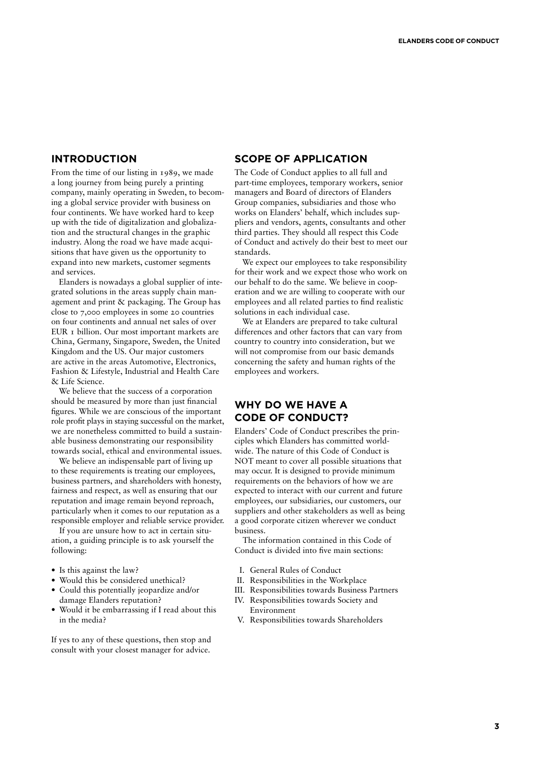### **INTRODUCTION**

From the time of our listing in 1989, we made a long journey from being purely a printing company, mainly operating in Sweden, to becoming a global service provider with business on four continents. We have worked hard to keep up with the tide of digitalization and globalization and the structural changes in the graphic industry. Along the road we have made acquisitions that have given us the opportunity to expand into new markets, customer segments and services.

Elanders is nowadays a global supplier of integrated solutions in the areas supply chain management and print & packaging. The Group has close to 7,000 employees in some 20 countries on four continents and annual net sales of over EUR 1 billion. Our most important markets are China, Germany, Singapore, Sweden, the United Kingdom and the US. Our major customers are active in the areas Automotive, Electronics, Fashion & Lifestyle, Industrial and Health Care & Life Science.

We believe that the success of a corporation should be measured by more than just financial figures. While we are conscious of the important role profit plays in staying successful on the market, we are nonetheless committed to build a sustainable business demonstrating our responsibility towards social, ethical and environmental issues.

We believe an indispensable part of living up to these requirements is treating our employees, business partners, and shareholders with honesty, fairness and respect, as well as ensuring that our reputation and image remain beyond reproach, particularly when it comes to our reputation as a responsible employer and reliable service provider.

If you are unsure how to act in certain situation, a guiding principle is to ask yourself the following:

- Is this against the law?
- Would this be considered unethical? • Could this potentially jeopardize and/or
- damage Elanders reputation? • Would it be embarrassing if I read about this
- in the media?

If yes to any of these questions, then stop and consult with your closest manager for advice.

## **SCOPE OF APPLICATION**

The Code of Conduct applies to all full and part-time employees, temporary workers, senior managers and Board of directors of Elanders Group companies, subsidiaries and those who works on Elanders' behalf, which includes suppliers and vendors, agents, consultants and other third parties. They should all respect this Code of Conduct and actively do their best to meet our standards.

We expect our employees to take responsibility for their work and we expect those who work on our behalf to do the same. We believe in cooperation and we are willing to cooperate with our employees and all related parties to find realistic solutions in each individual case.

We at Elanders are prepared to take cultural differences and other factors that can vary from country to country into consideration, but we will not compromise from our basic demands concerning the safety and human rights of the employees and workers.

# **WHY DO WE HAVE A CODE OF CONDUCT?**

Elanders' Code of Conduct prescribes the principles which Elanders has committed worldwide. The nature of this Code of Conduct is NOT meant to cover all possible situations that may occur. It is designed to provide minimum requirements on the behaviors of how we are expected to interact with our current and future employees, our subsidiaries, our customers, our suppliers and other stakeholders as well as being a good corporate citizen wherever we conduct business.

The information contained in this Code of Conduct is divided into five main sections:

- I. General Rules of Conduct
- II. Responsibilities in the Workplace
- III. Responsibilities towards Business Partners
- IV. Responsibilities towards Society and Environment
- V. Responsibilities towards Shareholders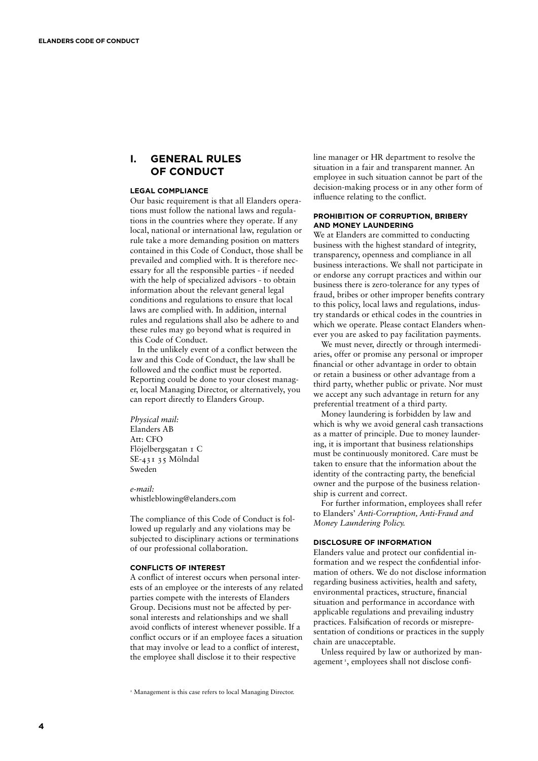# **I. GENERAL RULES OF CONDUCT**

#### **LEGAL COMPLIANCE**

Our basic requirement is that all Elanders operations must follow the national laws and regulations in the countries where they operate. If any local, national or international law, regulation or rule take a more demanding position on matters contained in this Code of Conduct, those shall be prevailed and complied with. It is therefore necessary for all the responsible parties - if needed with the help of specialized advisors - to obtain information about the relevant general legal conditions and regulations to ensure that local laws are complied with. In addition, internal rules and regulations shall also be adhere to and these rules may go beyond what is required in this Code of Conduct.

In the unlikely event of a conflict between the law and this Code of Conduct, the law shall be followed and the conflict must be reported. Reporting could be done to your closest manager, local Managing Director, or alternatively, you can report directly to Elanders Group.

*Physical mail:* Elanders AB Att: CFO Flöjelbergsgatan 1 C SE-431 35 Mölndal Sweden

*e-mail:* whistleblowing@elanders.com

The compliance of this Code of Conduct is followed up regularly and any violations may be subjected to disciplinary actions or terminations of our professional collaboration.

#### **CONFLICTS OF INTEREST**

A conflict of interest occurs when personal interests of an employee or the interests of any related parties compete with the interests of Elanders Group. Decisions must not be affected by personal interests and relationships and we shall avoid conflicts of interest whenever possible. If a conflict occurs or if an employee faces a situation that may involve or lead to a conflict of interest, the employee shall disclose it to their respective

line manager or HR department to resolve the situation in a fair and transparent manner. An employee in such situation cannot be part of the decision-making process or in any other form of influence relating to the conflict.

#### **PROHIBITION OF CORRUPTION, BRIBERY AND MONEY LAUNDERING**

We at Elanders are committed to conducting business with the highest standard of integrity, transparency, openness and compliance in all business interactions. We shall not participate in or endorse any corrupt practices and within our business there is zero-tolerance for any types of fraud, bribes or other improper benefits contrary to this policy, local laws and regulations, industry standards or ethical codes in the countries in which we operate. Please contact Elanders whenever you are asked to pay facilitation payments.

We must never, directly or through intermediaries, offer or promise any personal or improper financial or other advantage in order to obtain or retain a business or other advantage from a third party, whether public or private. Nor must we accept any such advantage in return for any preferential treatment of a third party.

Money laundering is forbidden by law and which is why we avoid general cash transactions as a matter of principle. Due to money laundering, it is important that business relationships must be continuously monitored. Care must be taken to ensure that the information about the identity of the contracting party, the beneficial owner and the purpose of the business relationship is current and correct.

For further information, employees shall refer to Elanders' *Anti-Corruption, Anti-Fraud and Money Laundering Policy.*

#### **DISCLOSURE OF INFORMATION**

Elanders value and protect our confidential information and we respect the confidential information of others. We do not disclose information regarding business activities, health and safety, environmental practices, structure, financial situation and performance in accordance with applicable regulations and prevailing industry practices. Falsification of records or misrepresentation of conditions or practices in the supply chain are unacceptable.

Unless required by law or authorized by management<sup>1</sup>, employees shall not disclose confi-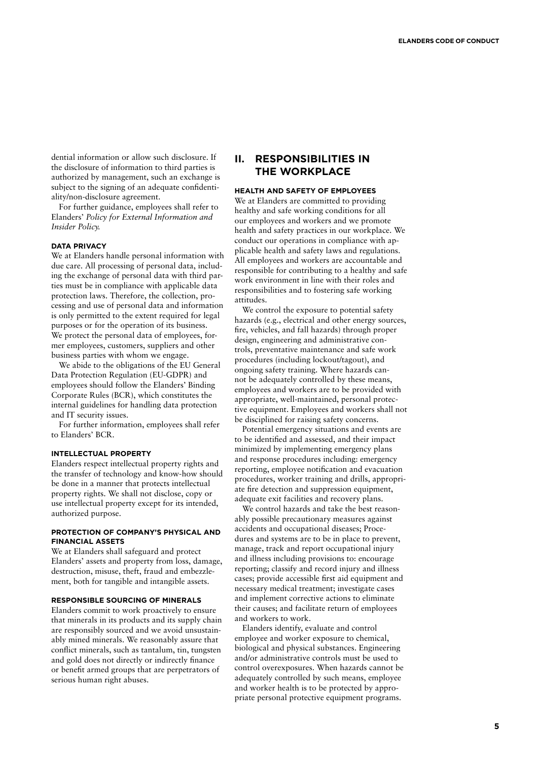dential information or allow such disclosure. If the disclosure of information to third parties is authorized by management, such an exchange is subject to the signing of an adequate confidentiality/non-disclosure agreement.

For further guidance, employees shall refer to Elanders' *Policy for External Information and Insider Policy.*

#### **DATA PRIVACY**

We at Elanders handle personal information with due care. All processing of personal data, including the exchange of personal data with third parties must be in compliance with applicable data protection laws. Therefore, the collection, processing and use of personal data and information is only permitted to the extent required for legal purposes or for the operation of its business. We protect the personal data of employees, former employees, customers, suppliers and other business parties with whom we engage.

We abide to the obligations of the EU General Data Protection Regulation (EU-GDPR) and employees should follow the Elanders' Binding Corporate Rules (BCR), which constitutes the internal guidelines for handling data protection and IT security issues.

For further information, employees shall refer to Elanders' BCR.

#### **INTELLECTUAL PROPERTY**

Elanders respect intellectual property rights and the transfer of technology and know-how should be done in a manner that protects intellectual property rights. We shall not disclose, copy or use intellectual property except for its intended, authorized purpose.

#### **PROTECTION OF COMPANY'S PHYSICAL AND FINANCIAL ASSETS**

We at Elanders shall safeguard and protect Elanders' assets and property from loss, damage, destruction, misuse, theft, fraud and embezzlement, both for tangible and intangible assets.

#### **RESPONSIBLE SOURCING OF MINERALS**

Elanders commit to work proactively to ensure that minerals in its products and its supply chain are responsibly sourced and we avoid unsustainably mined minerals. We reasonably assure that conflict minerals, such as tantalum, tin, tungsten and gold does not directly or indirectly finance or benefit armed groups that are perpetrators of serious human right abuses.

# **II. RESPONSIBILITIES IN THE WORKPLACE**

#### **HEALTH AND SAFETY OF EMPLOYEES**

We at Elanders are committed to providing healthy and safe working conditions for all our employees and workers and we promote health and safety practices in our workplace. We conduct our operations in compliance with applicable health and safety laws and regulations. All employees and workers are accountable and responsible for contributing to a healthy and safe work environment in line with their roles and responsibilities and to fostering safe working attitudes.

We control the exposure to potential safety hazards (e.g., electrical and other energy sources, fire, vehicles, and fall hazards) through proper design, engineering and administrative controls, preventative maintenance and safe work procedures (including lockout/tagout), and ongoing safety training. Where hazards cannot be adequately controlled by these means, employees and workers are to be provided with appropriate, well-maintained, personal protective equipment. Employees and workers shall not be disciplined for raising safety concerns.

Potential emergency situations and events are to be identified and assessed, and their impact minimized by implementing emergency plans and response procedures including: emergency reporting, employee notification and evacuation procedures, worker training and drills, appropriate fire detection and suppression equipment, adequate exit facilities and recovery plans.

We control hazards and take the best reasonably possible precautionary measures against accidents and occupational diseases; Procedures and systems are to be in place to prevent, manage, track and report occupational injury and illness including provisions to: encourage reporting; classify and record injury and illness cases; provide accessible first aid equipment and necessary medical treatment; investigate cases and implement corrective actions to eliminate their causes; and facilitate return of employees and workers to work.

Elanders identify, evaluate and control employee and worker exposure to chemical, biological and physical substances. Engineering and/or administrative controls must be used to control overexposures. When hazards cannot be adequately controlled by such means, employee and worker health is to be protected by appropriate personal protective equipment programs.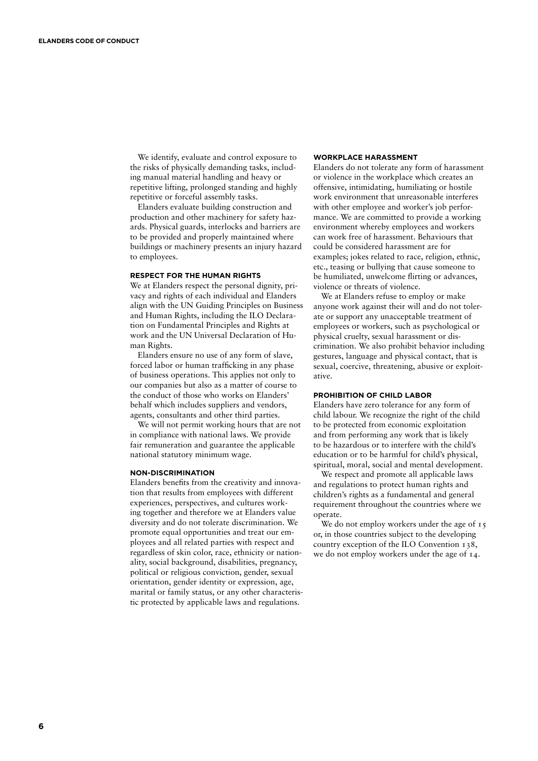We identify, evaluate and control exposure to the risks of physically demanding tasks, including manual material handling and heavy or repetitive lifting, prolonged standing and highly repetitive or forceful assembly tasks.

Elanders evaluate building construction and production and other machinery for safety hazards. Physical guards, interlocks and barriers are to be provided and properly maintained where buildings or machinery presents an injury hazard to employees.

#### **RESPECT FOR THE HUMAN RIGHTS**

We at Elanders respect the personal dignity, privacy and rights of each individual and Elanders align with the UN Guiding Principles on Business and Human Rights, including the ILO Declaration on Fundamental Principles and Rights at work and the UN Universal Declaration of Human Rights.

Elanders ensure no use of any form of slave, forced labor or human trafficking in any phase of business operations. This applies not only to our companies but also as a matter of course to the conduct of those who works on Elanders' behalf which includes suppliers and vendors, agents, consultants and other third parties.

We will not permit working hours that are not in compliance with national laws. We provide fair remuneration and guarantee the applicable national statutory minimum wage.

#### **NON-DISCRIMINATION**

Elanders benefits from the creativity and innovation that results from employees with different experiences, perspectives, and cultures working together and therefore we at Elanders value diversity and do not tolerate discrimination. We promote equal opportunities and treat our employees and all related parties with respect and regardless of skin color, race, ethnicity or nationality, social background, disabilities, pregnancy, political or religious conviction, gender, sexual orientation, gender identity or expression, age, marital or family status, or any other characteristic protected by applicable laws and regulations.

#### **WORKPLACE HARASSMENT**

Elanders do not tolerate any form of harassment or violence in the workplace which creates an offensive, intimidating, humiliating or hostile work environment that unreasonable interferes with other employee and worker's job performance. We are committed to provide a working environment whereby employees and workers can work free of harassment. Behaviours that could be considered harassment are for examples; jokes related to race, religion, ethnic, etc., teasing or bullying that cause someone to be humiliated, unwelcome flirting or advances, violence or threats of violence.

We at Elanders refuse to employ or make anyone work against their will and do not tolerate or support any unacceptable treatment of employees or workers, such as psychological or physical cruelty, sexual harassment or discrimination. We also prohibit behavior including gestures, language and physical contact, that is sexual, coercive, threatening, abusive or exploitative.

#### **PROHIBITION OF CHILD LABOR**

Elanders have zero tolerance for any form of child labour. We recognize the right of the child to be protected from economic exploitation and from performing any work that is likely to be hazardous or to interfere with the child's education or to be harmful for child's physical, spiritual, moral, social and mental development.

We respect and promote all applicable laws and regulations to protect human rights and children's rights as a fundamental and general requirement throughout the countries where we operate.

We do not employ workers under the age of 15 or, in those countries subject to the developing country exception of the ILO Convention 138, we do not employ workers under the age of 14.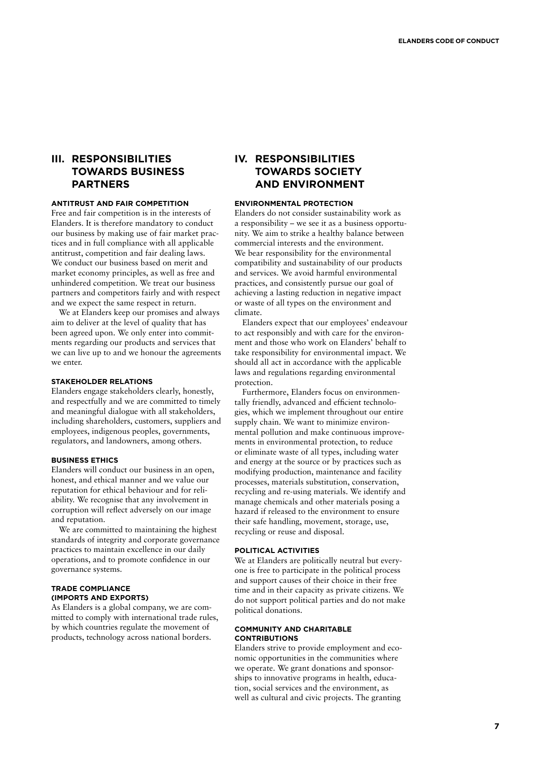# **III. RESPONSIBILITIES TOWARDS BUSINESS PARTNERS**

### **ANTITRUST AND FAIR COMPETITION**

Free and fair competition is in the interests of Elanders. It is therefore mandatory to conduct our business by making use of fair market practices and in full compliance with all applicable antitrust, competition and fair dealing laws. We conduct our business based on merit and market economy principles, as well as free and unhindered competition. We treat our business partners and competitors fairly and with respect and we expect the same respect in return.

We at Elanders keep our promises and always aim to deliver at the level of quality that has been agreed upon. We only enter into commitments regarding our products and services that we can live up to and we honour the agreements we enter.

### **STAKEHOLDER RELATIONS**

Elanders engage stakeholders clearly, honestly, and respectfully and we are committed to timely and meaningful dialogue with all stakeholders, including shareholders, customers, suppliers and employees, indigenous peoples, governments, regulators, and landowners, among others.

### **BUSINESS ETHICS**

Elanders will conduct our business in an open, honest, and ethical manner and we value our reputation for ethical behaviour and for reliability. We recognise that any involvement in corruption will reflect adversely on our image and reputation.

We are committed to maintaining the highest standards of integrity and corporate governance practices to maintain excellence in our daily operations, and to promote confidence in our governance systems.

#### **TRADE COMPLIANCE (IMPORTS AND EXPORTS)**

As Elanders is a global company, we are committed to comply with international trade rules, by which countries regulate the movement of products, technology across national borders.

# **IV. RESPONSIBILITIES TOWARDS SOCIETY AND ENVIRONMENT**

### **ENVIRONMENTAL PROTECTION**

Elanders do not consider sustainability work as a responsibility – we see it as a business opportunity. We aim to strike a healthy balance between commercial interests and the environment. We bear responsibility for the environmental compatibility and sustainability of our products and services. We avoid harmful environmental practices, and consistently pursue our goal of achieving a lasting reduction in negative impact or waste of all types on the environment and climate.

Elanders expect that our employees' endeavour to act responsibly and with care for the environment and those who work on Elanders' behalf to take responsibility for environmental impact. We should all act in accordance with the applicable laws and regulations regarding environmental protection.

Furthermore, Elanders focus on environmentally friendly, advanced and efficient technologies, which we implement throughout our entire supply chain. We want to minimize environmental pollution and make continuous improvements in environmental protection, to reduce or eliminate waste of all types, including water and energy at the source or by practices such as modifying production, maintenance and facility processes, materials substitution, conservation, recycling and re-using materials. We identify and manage chemicals and other materials posing a hazard if released to the environment to ensure their safe handling, movement, storage, use, recycling or reuse and disposal.

#### **POLITICAL ACTIVITIES**

We at Elanders are politically neutral but everyone is free to participate in the political process and support causes of their choice in their free time and in their capacity as private citizens. We do not support political parties and do not make political donations.

### **COMMUNITY AND CHARITABLE CONTRIBUTIONS**

Elanders strive to provide employment and economic opportunities in the communities where we operate. We grant donations and sponsorships to innovative programs in health, education, social services and the environment, as well as cultural and civic projects. The granting